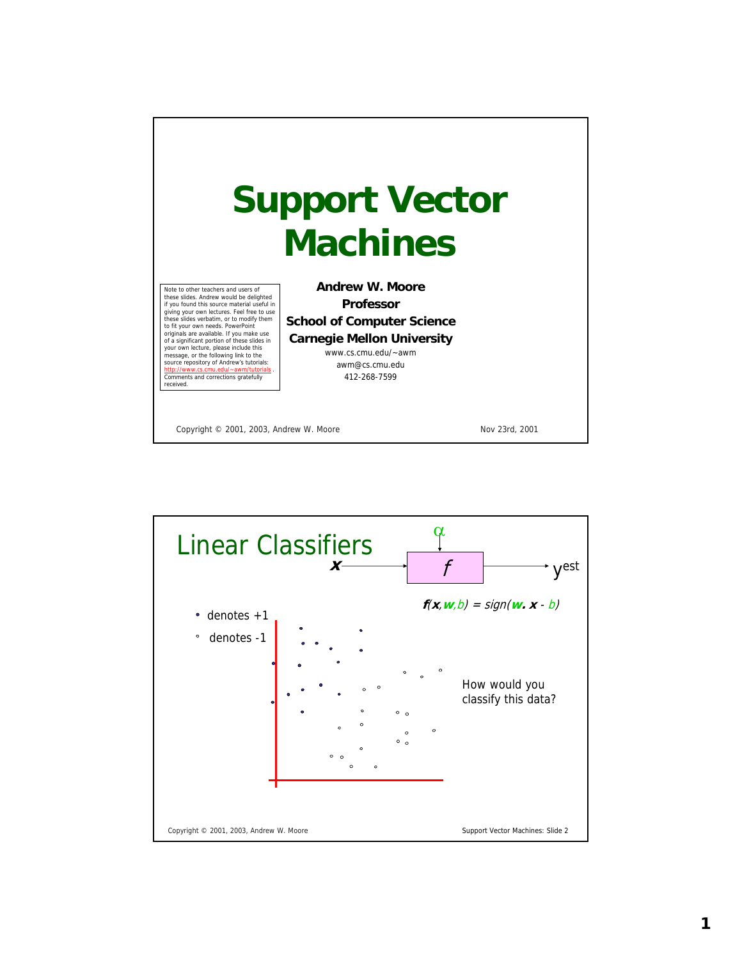

α Linear Classifiers yest  $x \rightarrow f$  $f(x, w, b) = sign(w. x - b)$  $\bullet$ denotes +1 denotes -1 How would you classify this data?Copyright © 2001, 2003, Andrew W. Moore Support Vector Machines: Slide 2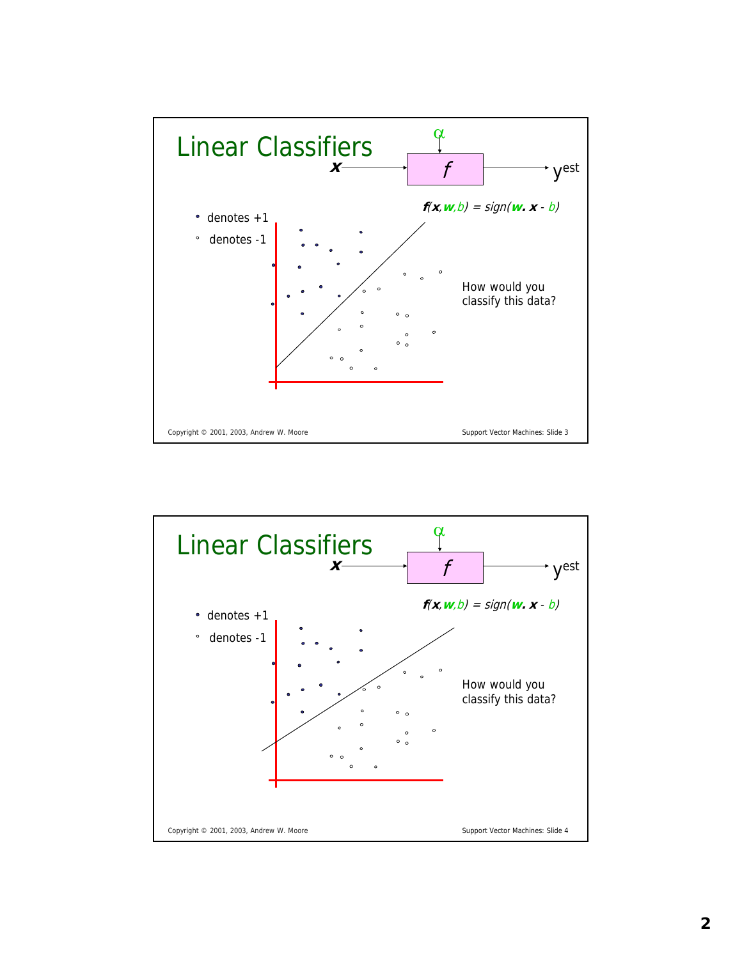

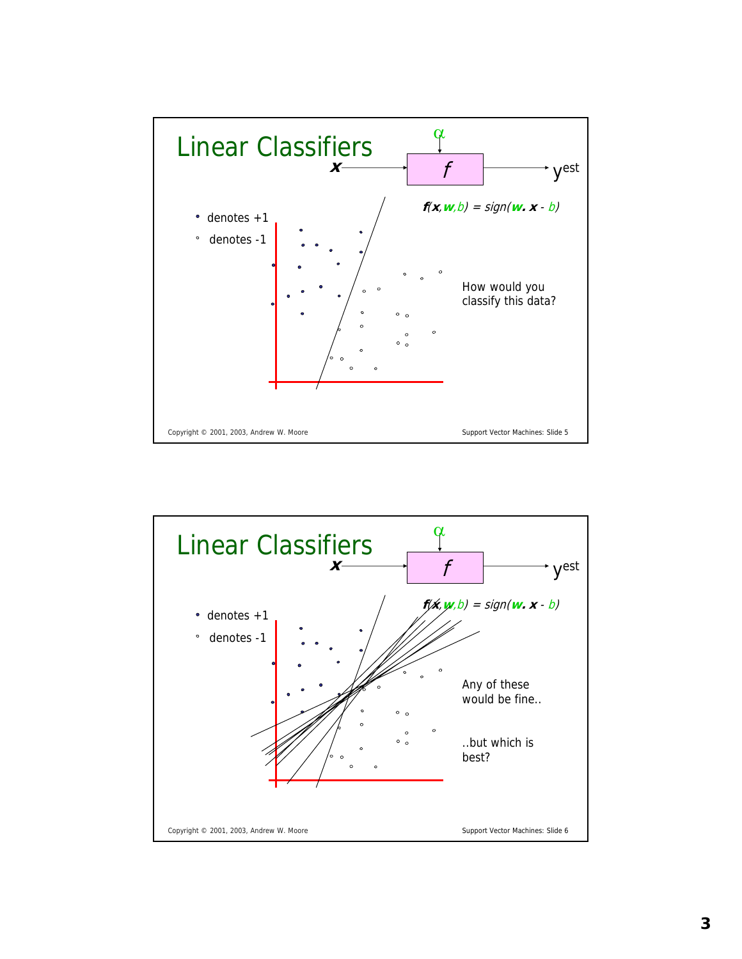

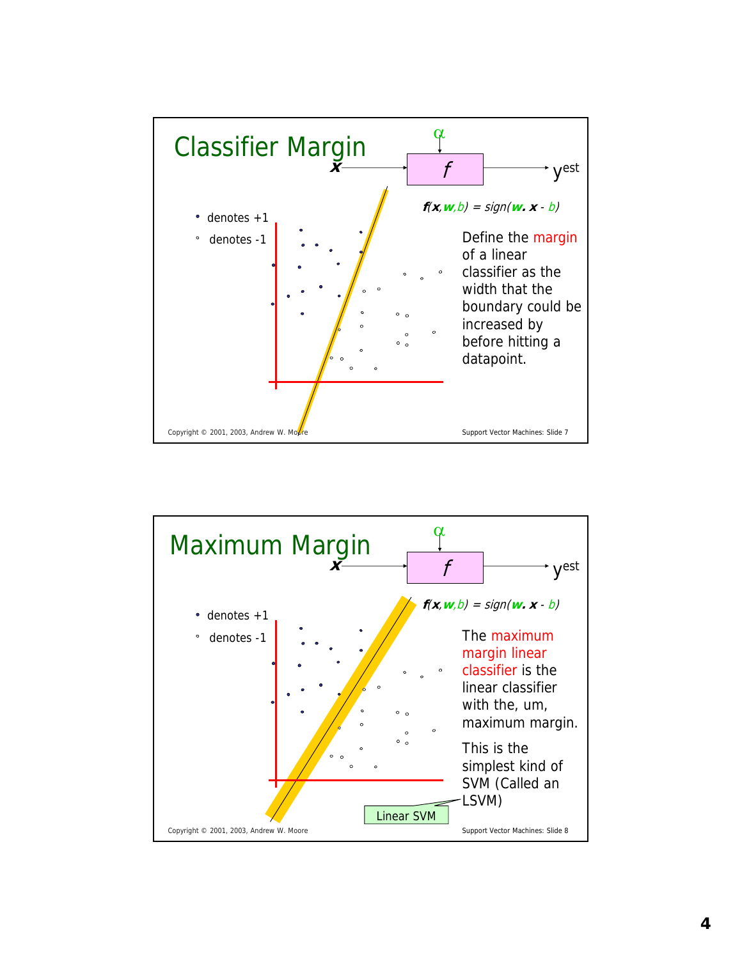

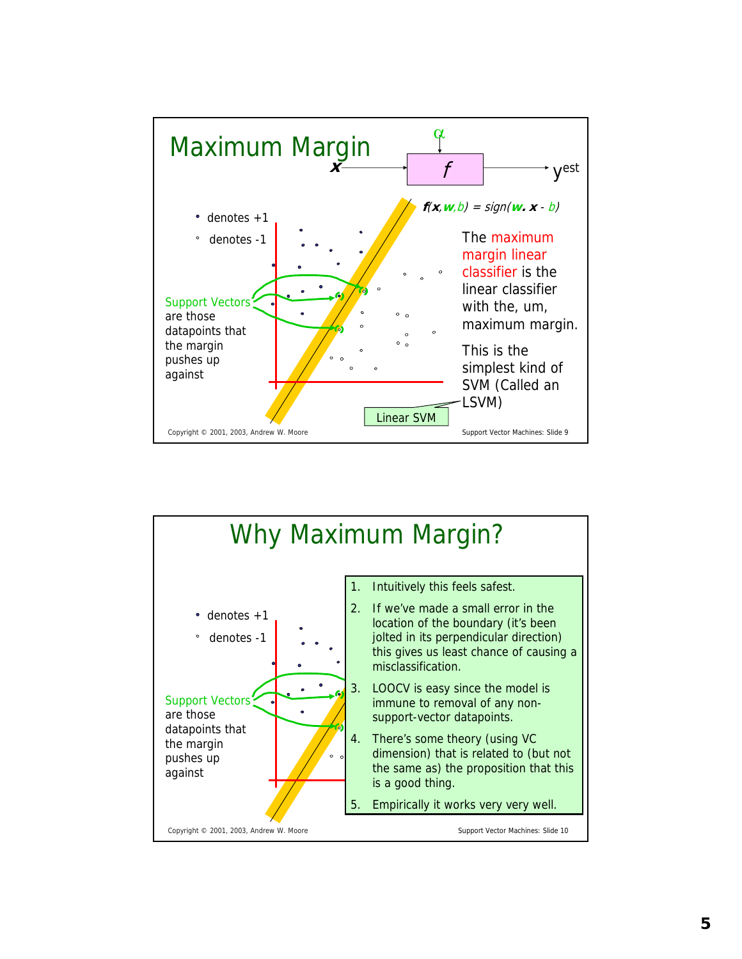

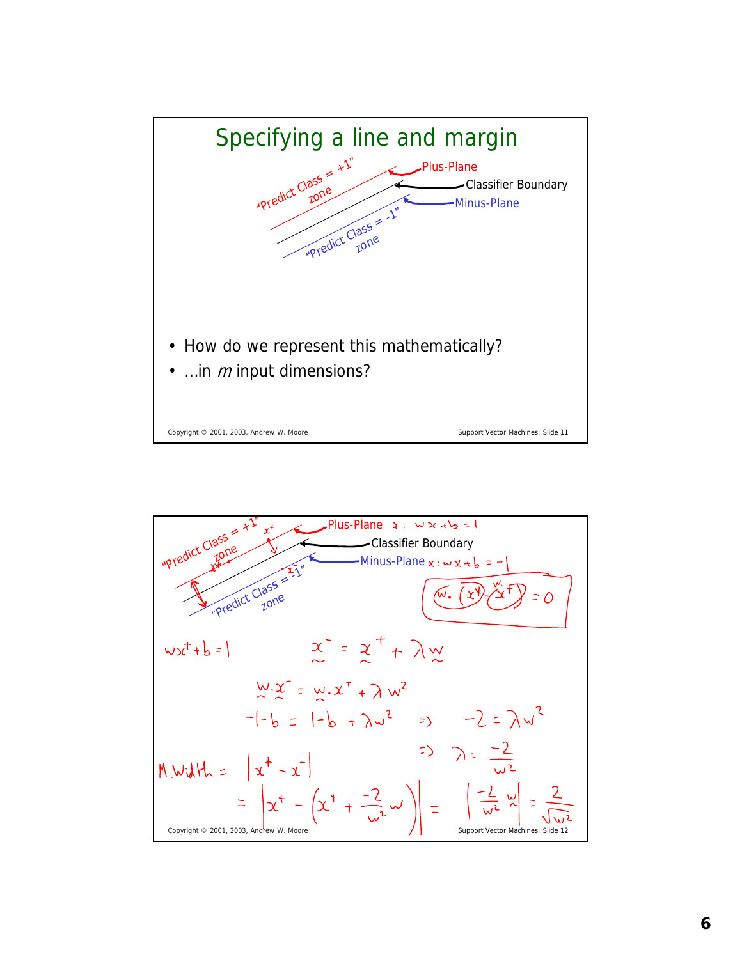

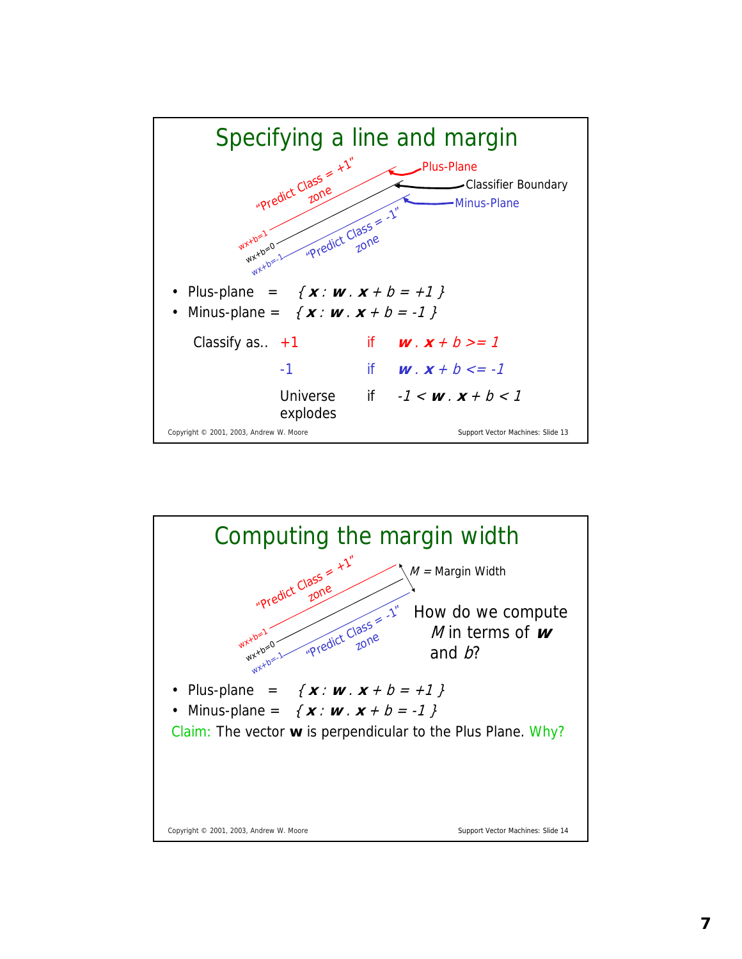

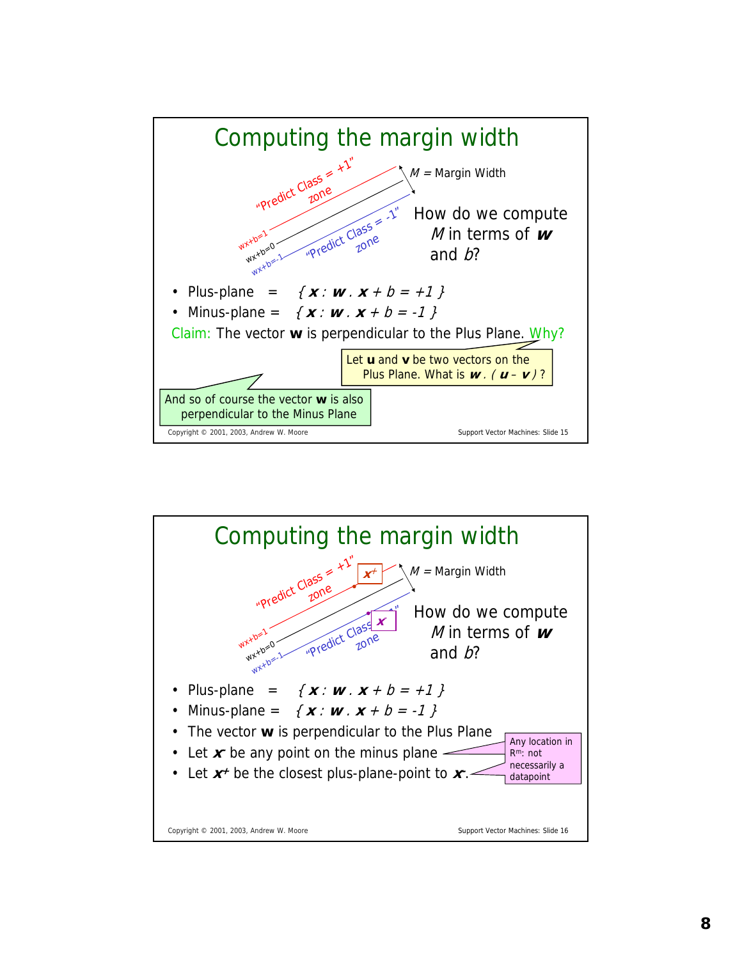

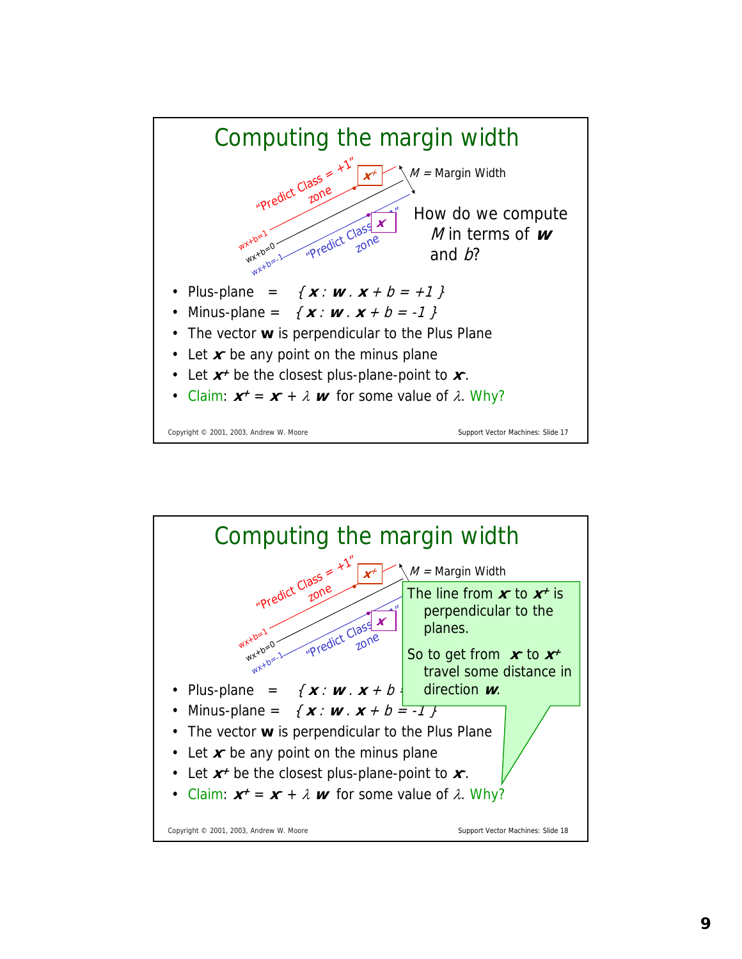

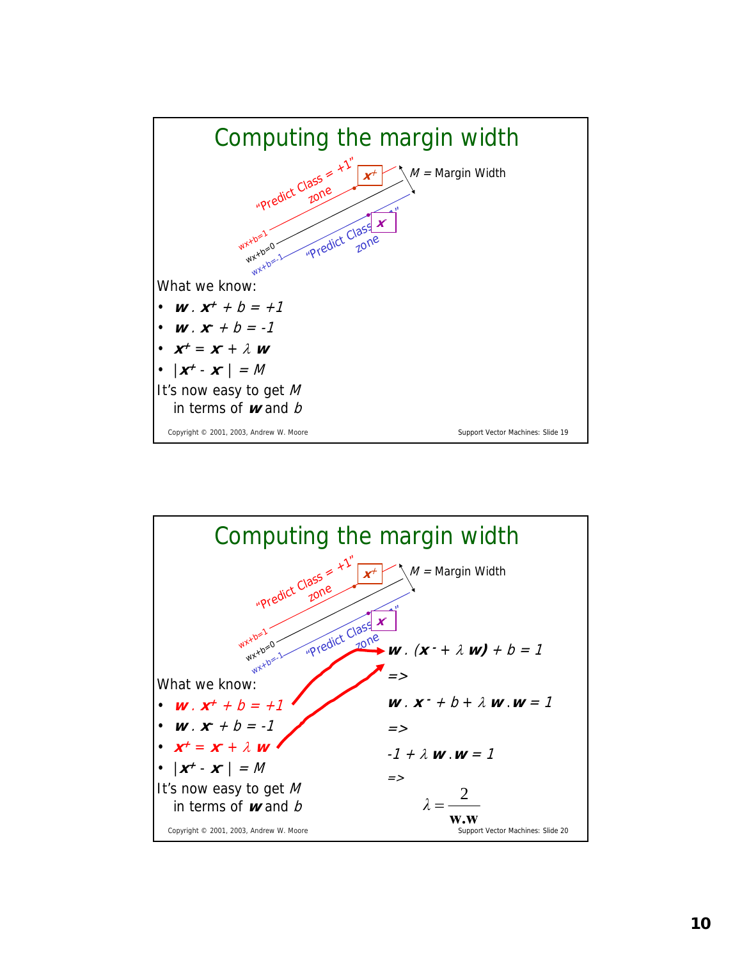

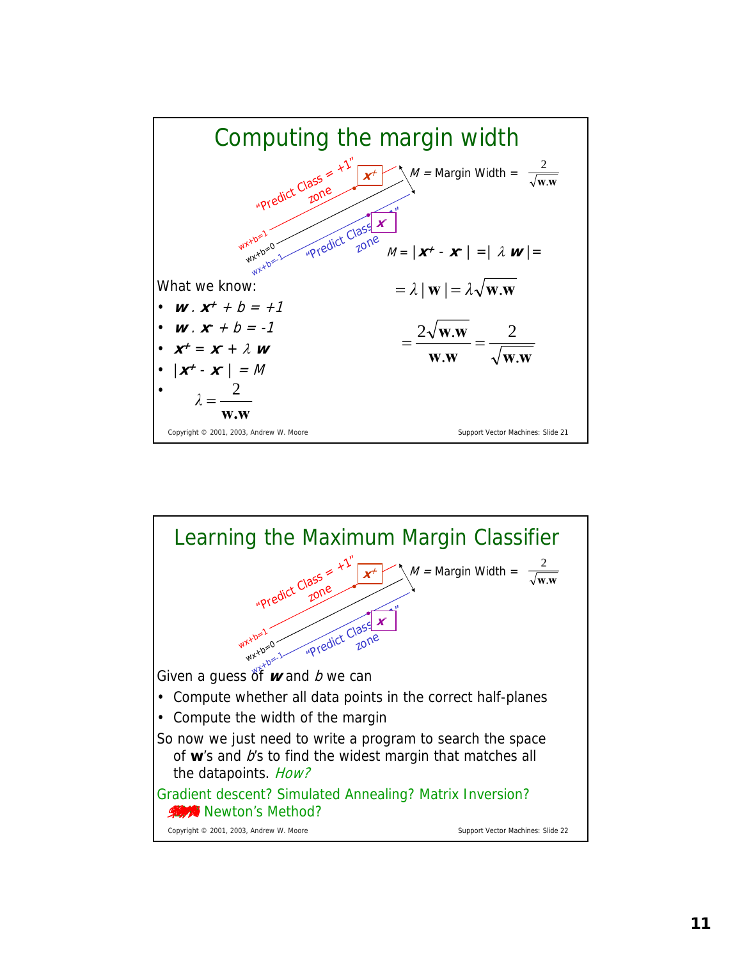

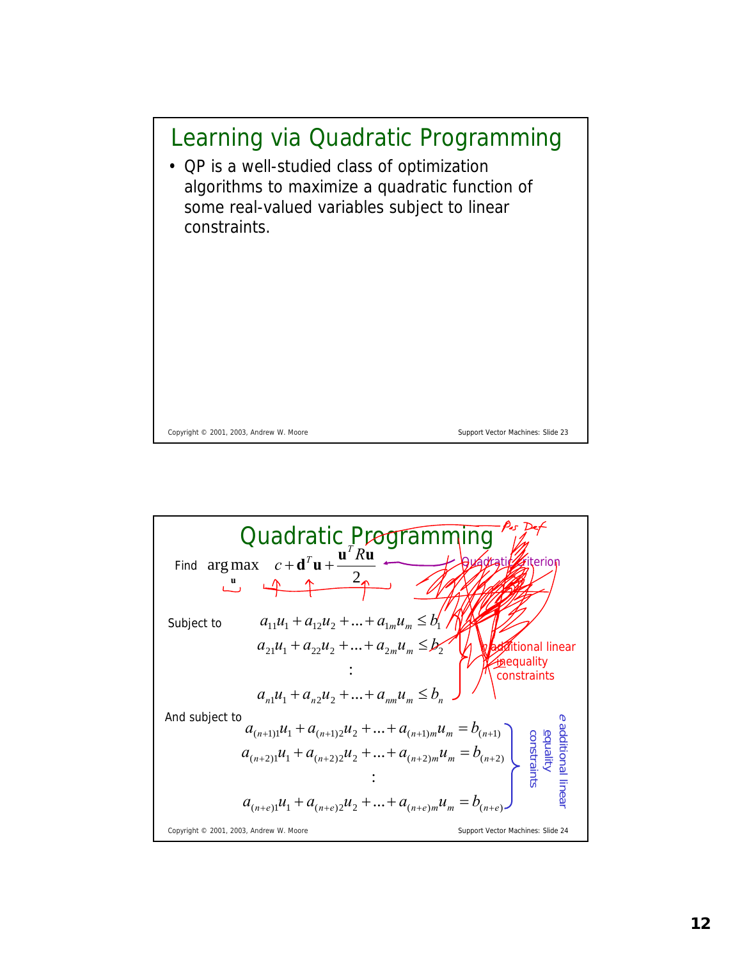

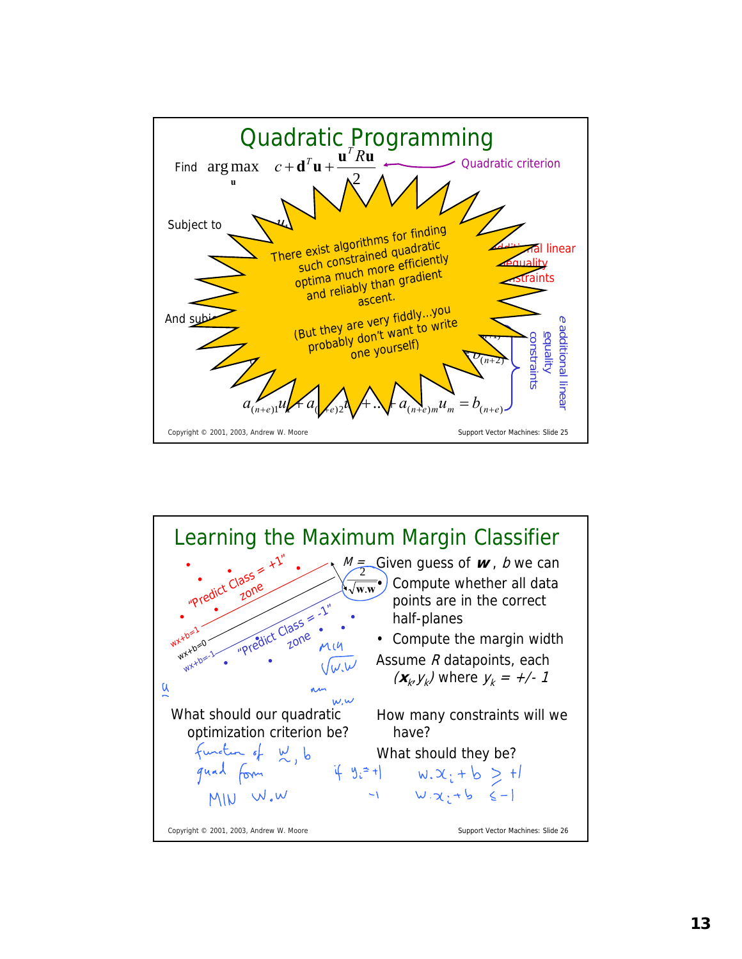

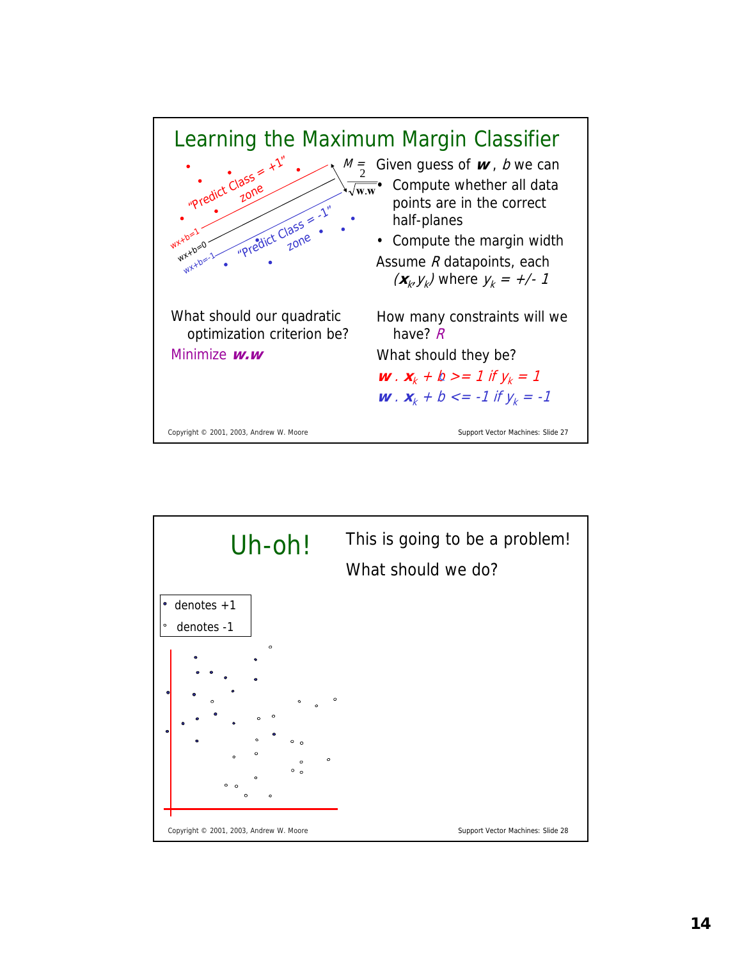

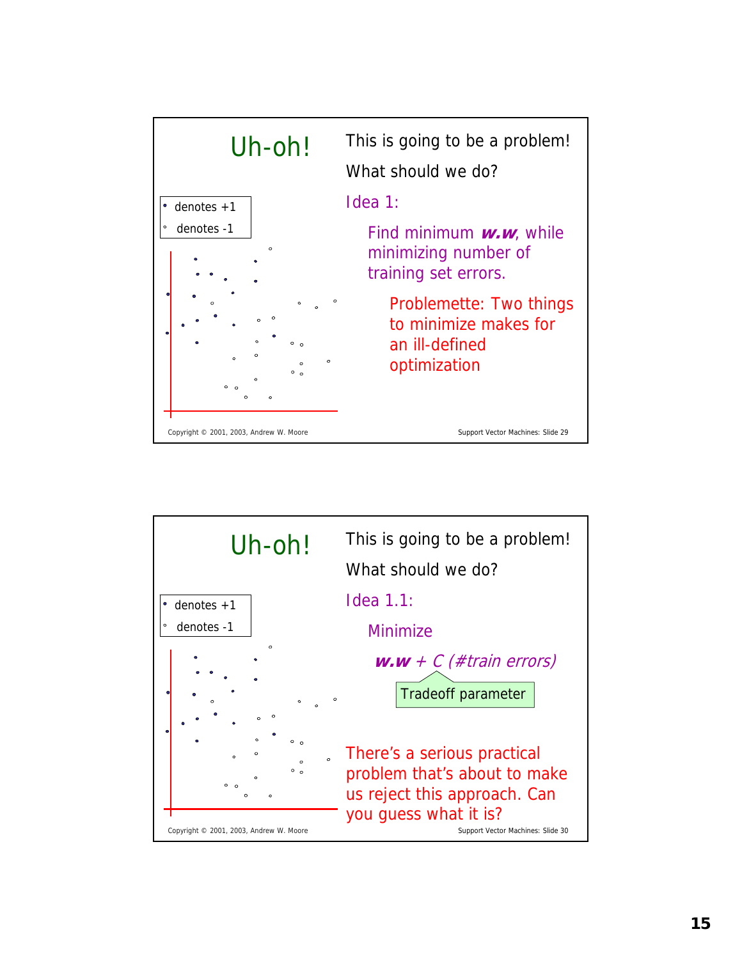

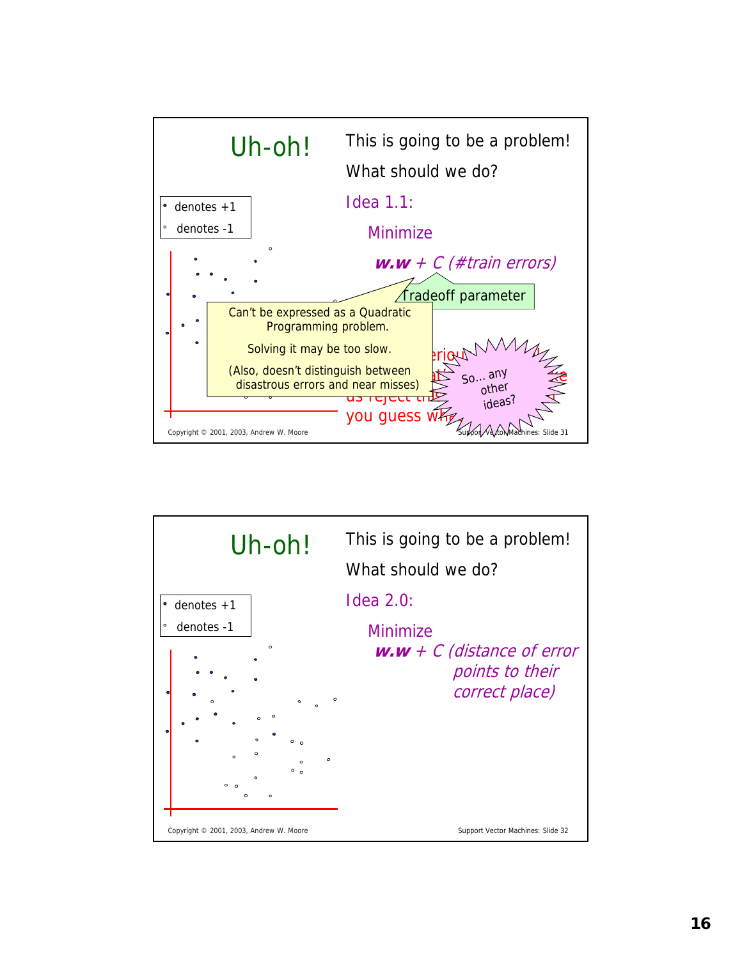

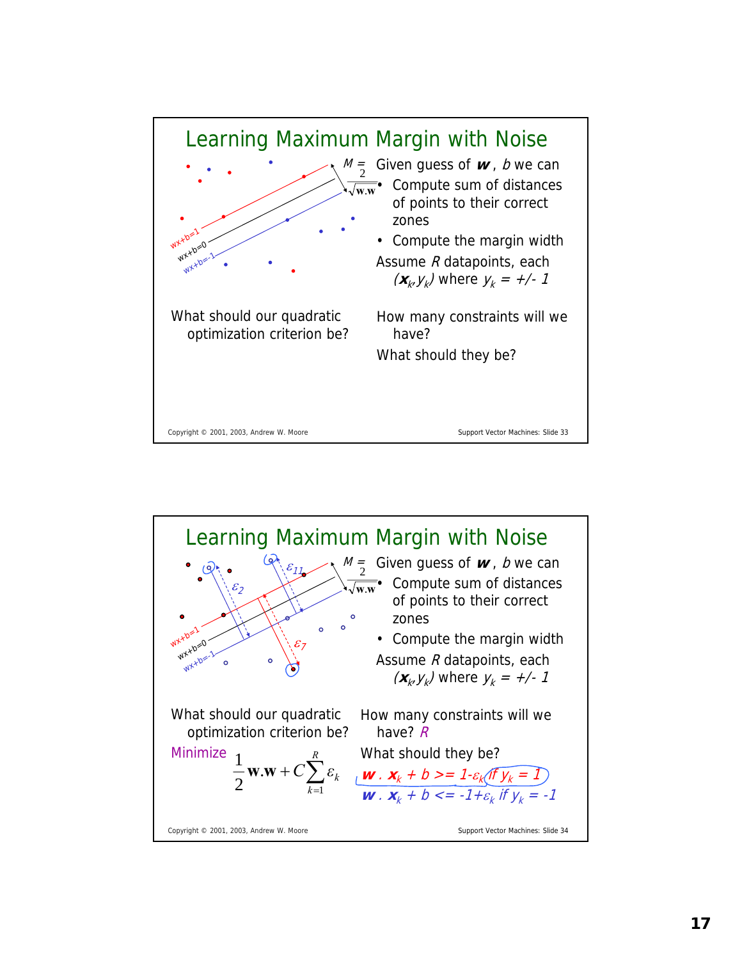

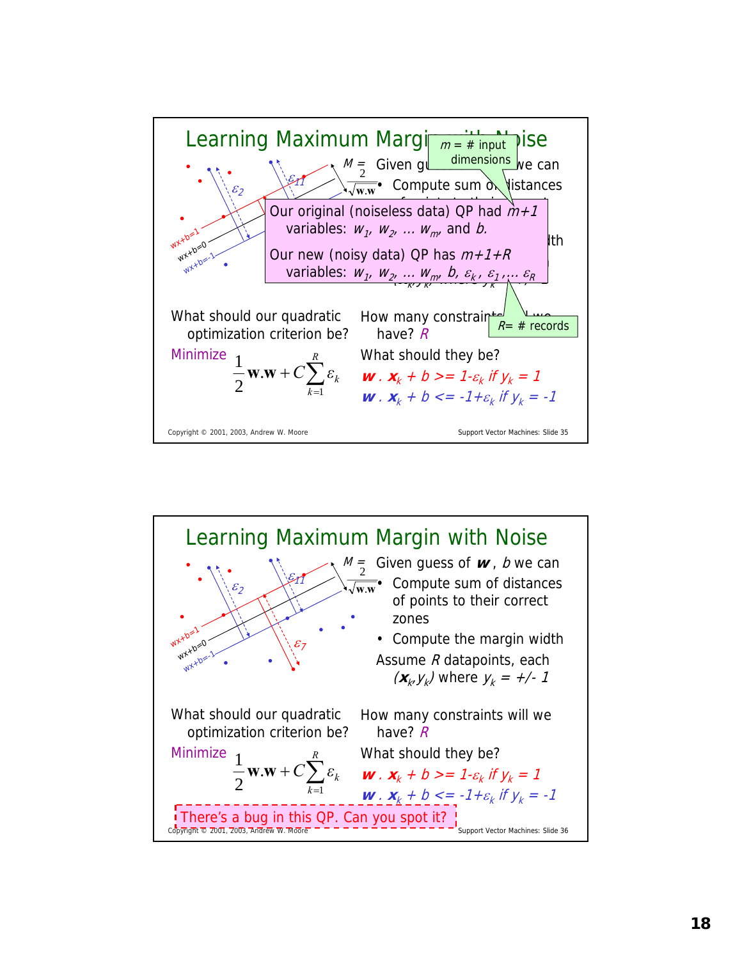

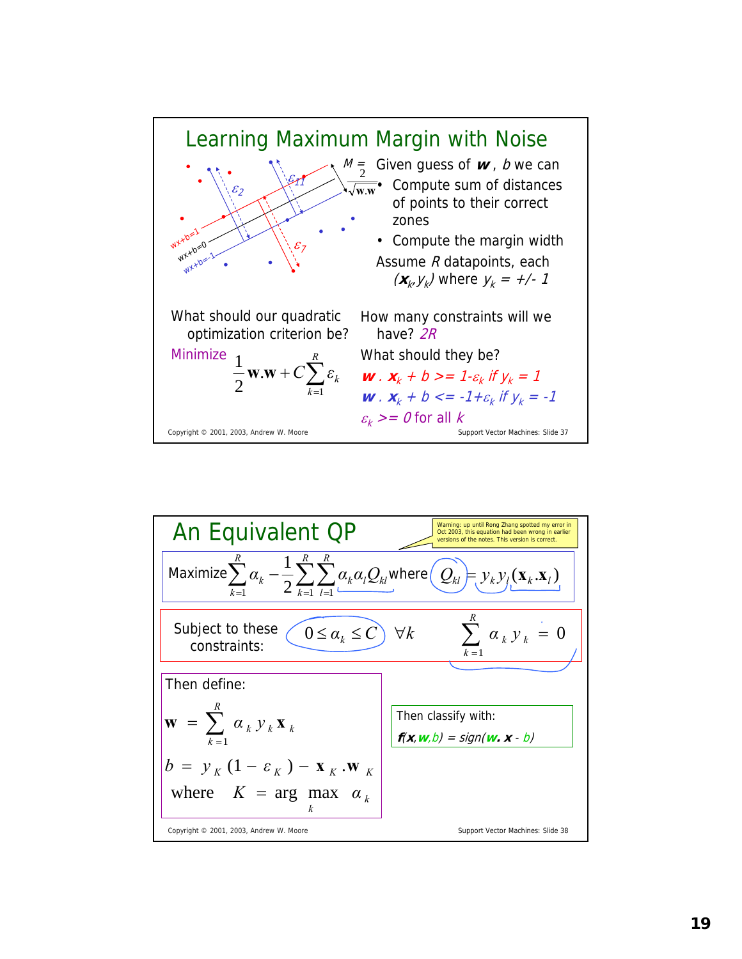

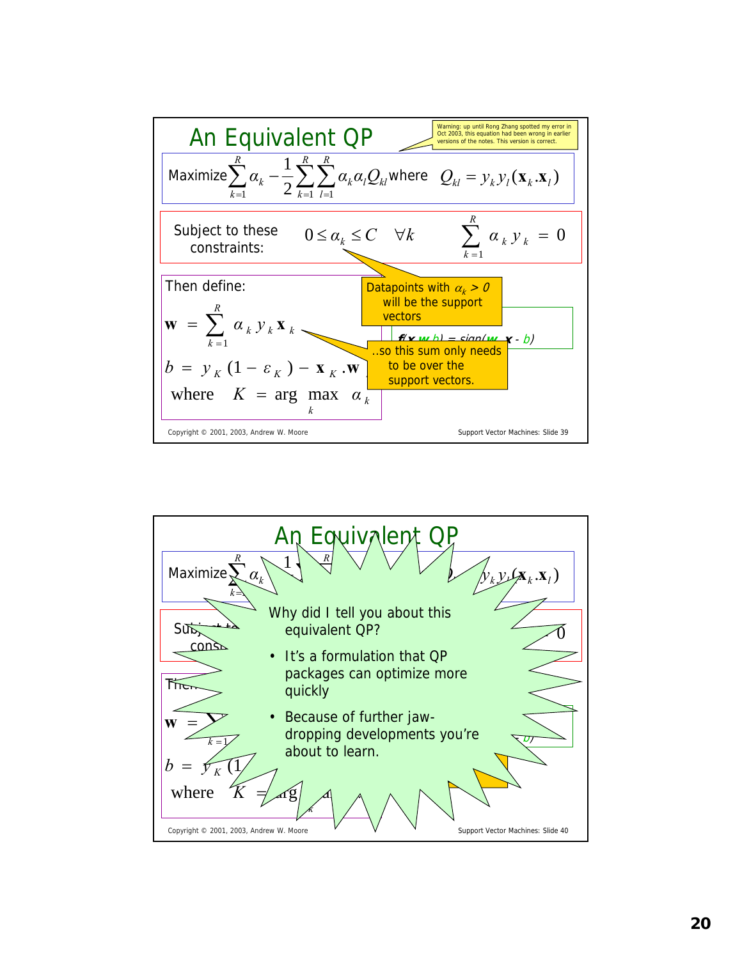

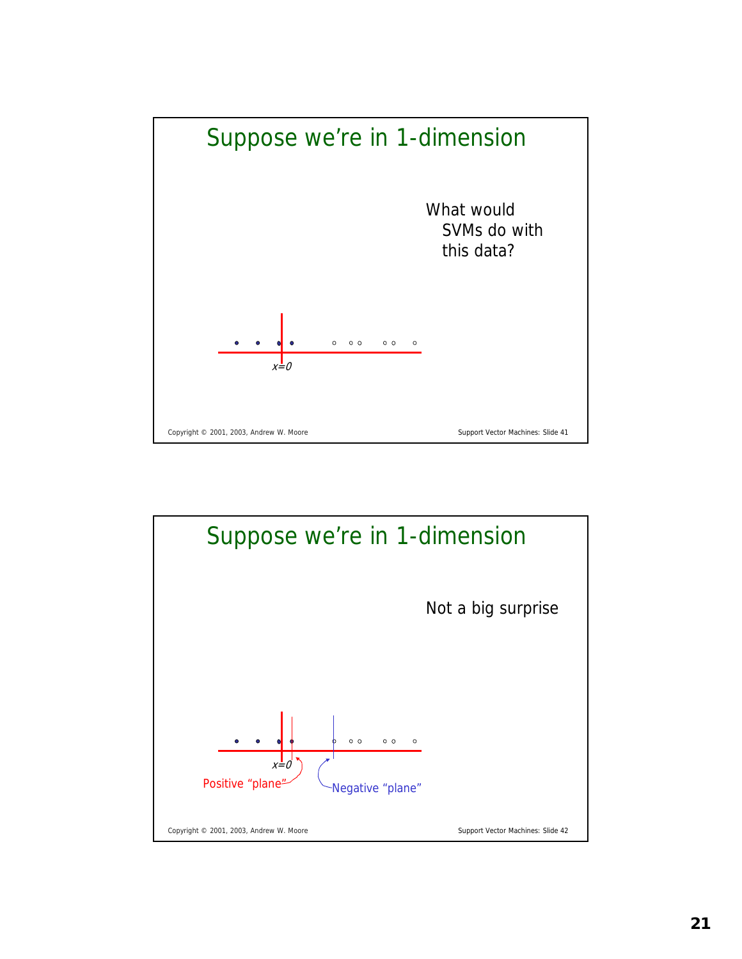

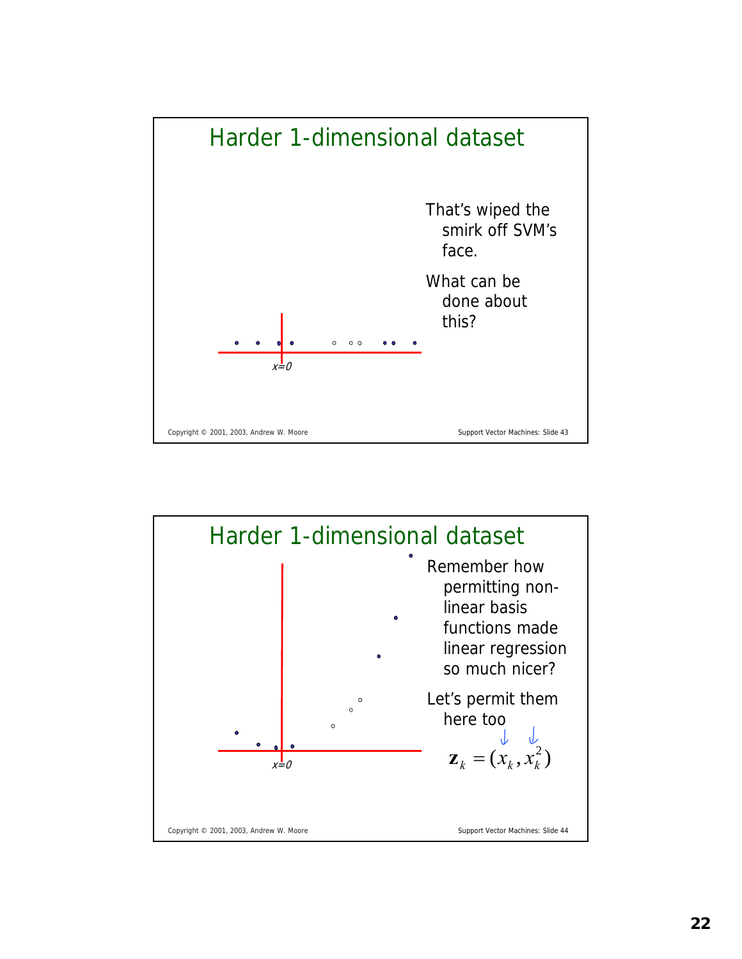

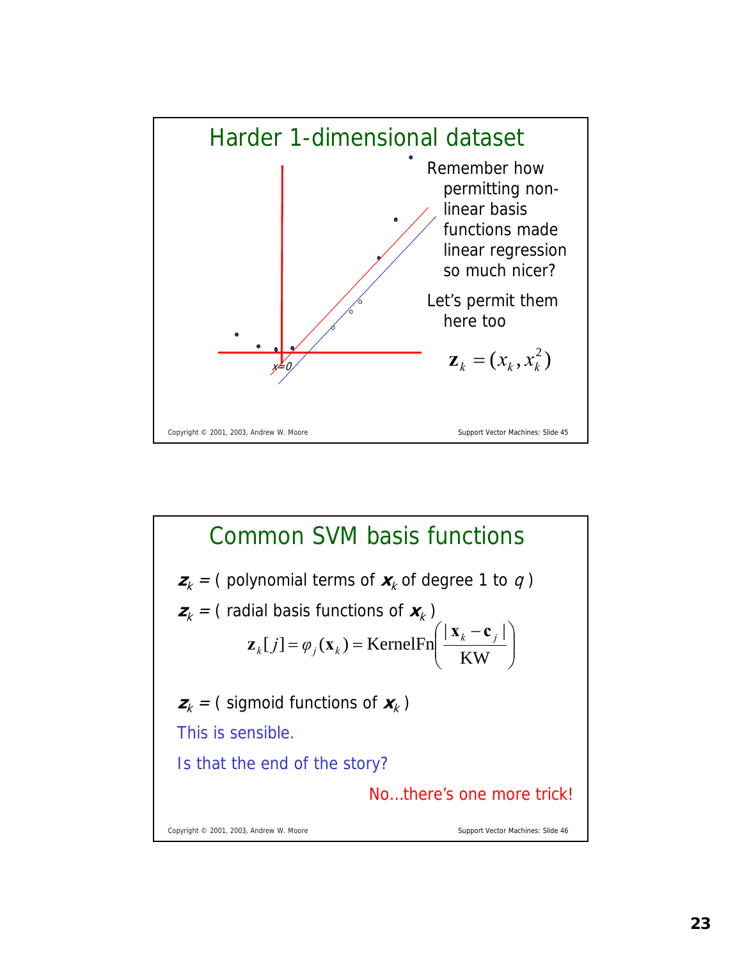

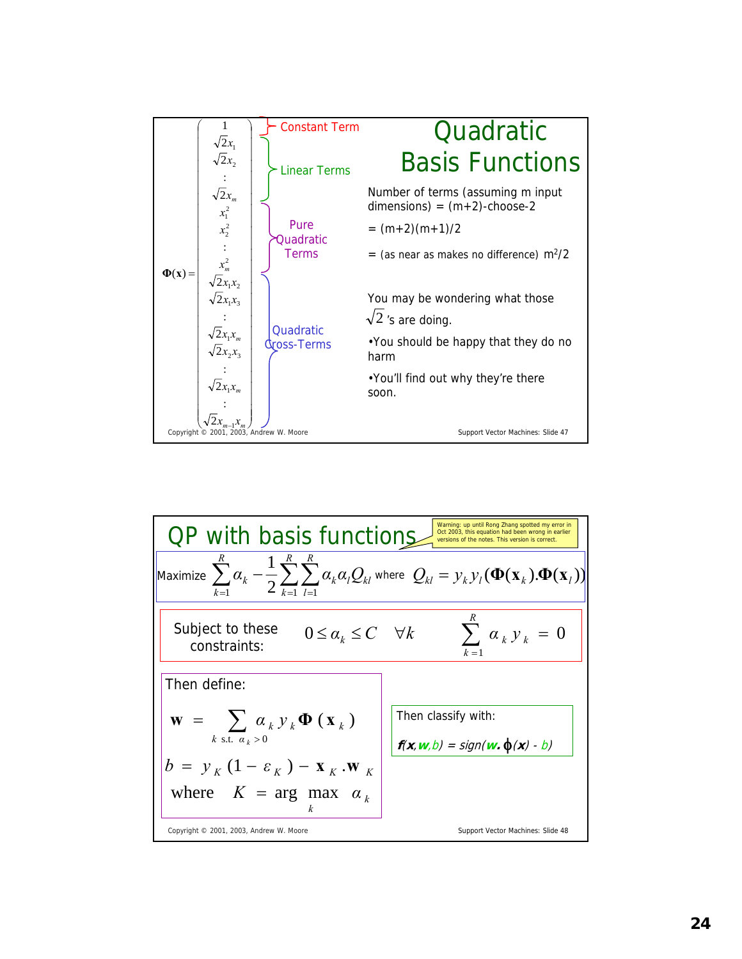

| QP with basis functions.                                                                        | W                   |                     |                     |                     |                     |                     |                     |
|-------------------------------------------------------------------------------------------------|---------------------|---------------------|---------------------|---------------------|---------------------|---------------------|---------------------|
| \n $\frac{R}{k-1} \alpha_k - \frac{1}{2} \sum_{k=1}^R \sum_{l=1}^R \alpha_k \alpha_l Q_{kl}$ \n | \n $\frac{R}{k}$ \n | \n $\frac{R}{k}$ \n |                     |                     |                     |                     |                     |
| \n $\frac{R}{k-1} \alpha_k - \frac{1}{2} \sum_{k=1}^R \sum_{l=1}^R \alpha_k \alpha_l Q_{kl}$ \n | \n $\frac{R}{k}$ \n | \n $\frac{R}{k}$ \n | \n $\frac{R}{k}$ \n |                     |                     |                     |                     |
| \n $\frac{R}{k}$ \n                                                                             | \n $\frac{R}{k}$ \n | \n $\frac{R}{k}$ \n | \n $\frac{R}{k}$ \n | \n $\frac{R}{k}$ \n | \n $\frac{R}{k}$ \n |                     |                     |
| \n $\frac{R}{k}$ \n                                                                             | \n $\frac{R}{k}$ \n | \n $\frac{R}{k}$ \n |                     |                     |                     |                     |                     |
| \n $\frac{R}{k}$ \n                                                                             | \n $\frac{R}{k}$ \n | \n $\frac{R}{k}$ \n | \n $\frac{R}{k}$ \n |                     |                     |                     |                     |
| \n $\frac{R}{k}$ \n                                                                             | \n $\frac{R}{k}$ \n | \n $\frac{R}{k}$ \n | \n $\frac{R}{k}$ \n | \n $\frac{R}{k}$ \n | \n $\frac{R}{k}$ \n | \n $\frac{R}{k}$ \n | \n $\frac{R}{k}$ \n |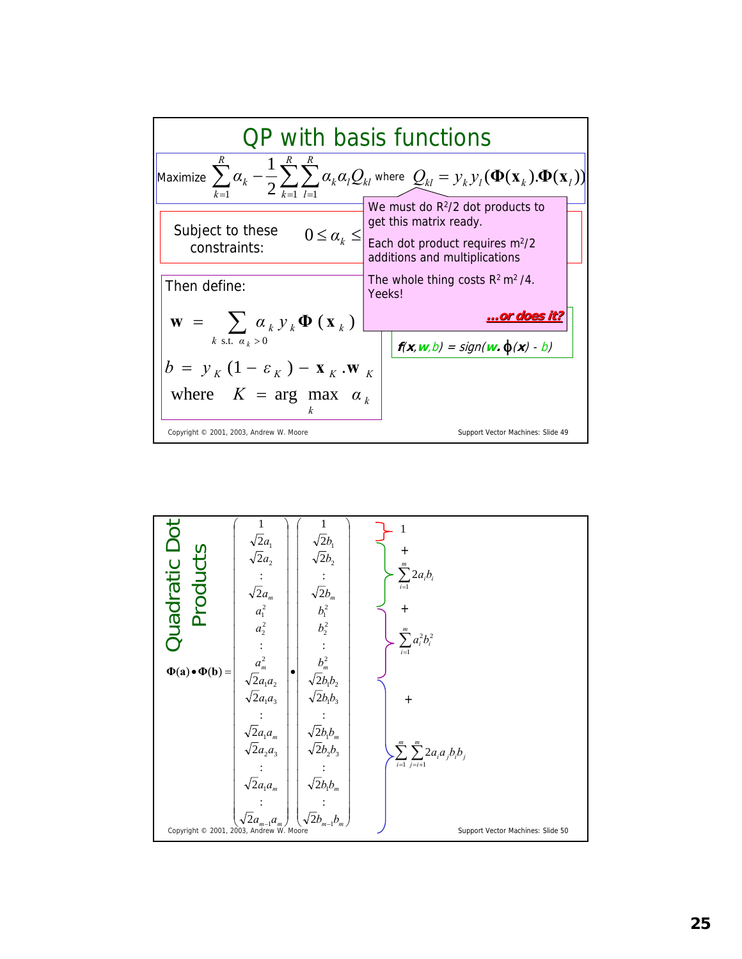

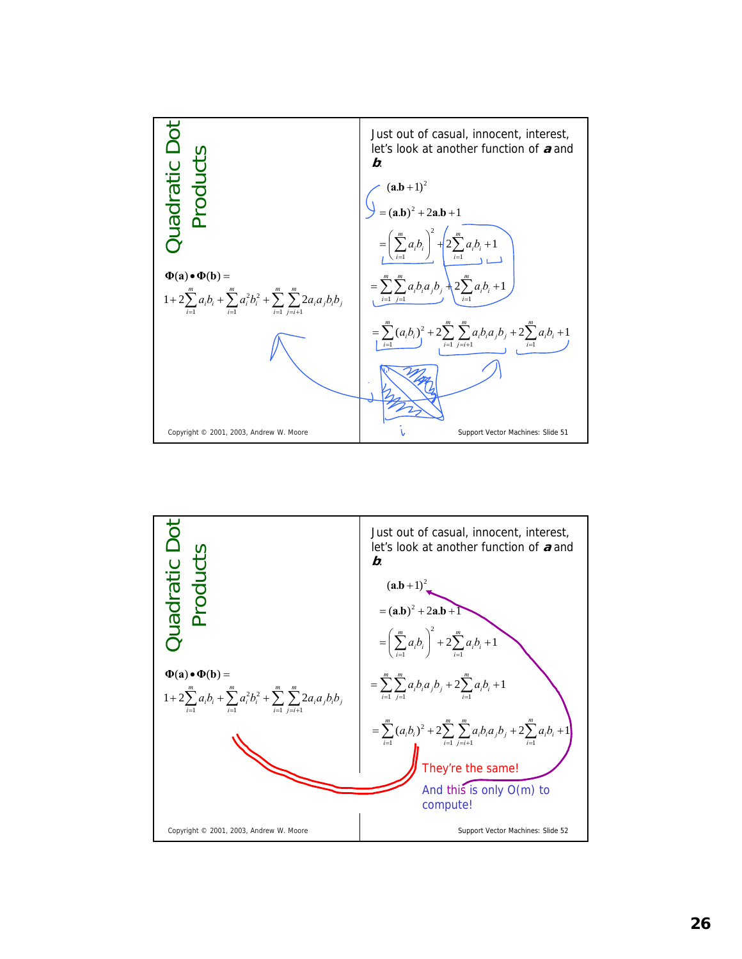

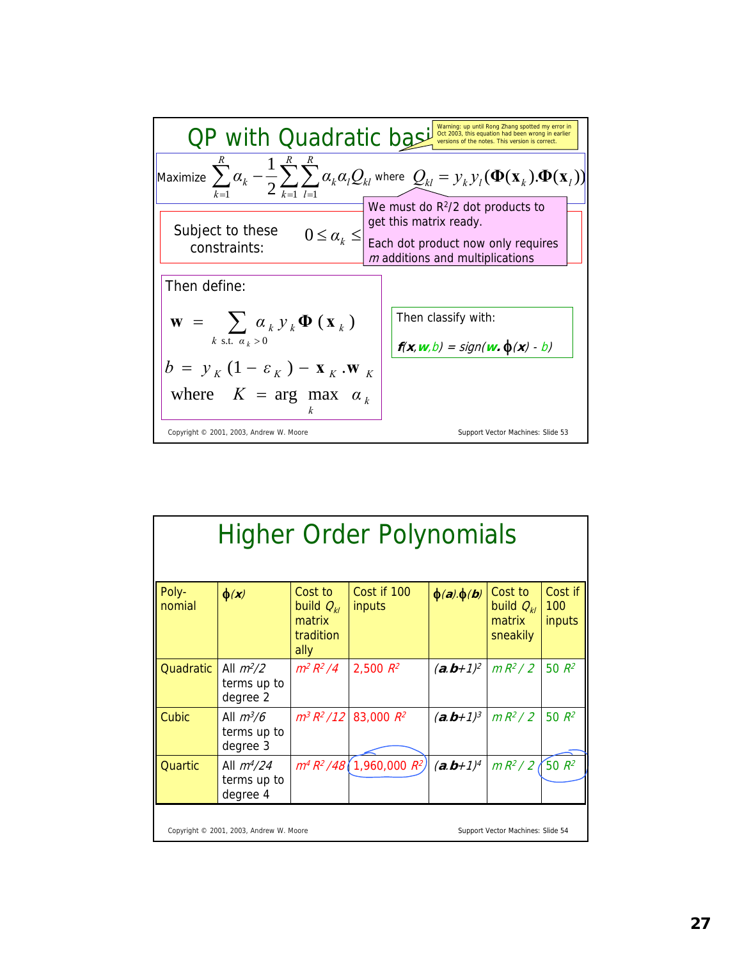

| <b>Higher Order Polynomials</b>                                              |                                           |                                                          |                                |                   |                                                 |                          |
|------------------------------------------------------------------------------|-------------------------------------------|----------------------------------------------------------|--------------------------------|-------------------|-------------------------------------------------|--------------------------|
| Poly-<br>nomial                                                              | $\phi(x)$                                 | Cost to<br>build $Q_{kl}$<br>matrix<br>tradition<br>ally | Cost if 100<br>inputs          | $\phi(a).\phi(b)$ | Cost to<br>build $Q_{kl}$<br>matrix<br>sneakily | Cost if<br>100<br>inputs |
| Quadratic                                                                    | All $m^2/2$<br>terms up to<br>degree 2    | $m^2 R^2 / 4$                                            | 2,500 $R^2$                    | $(a.b+1)^2$       | $mR^2/2$                                        | $50 R^2$                 |
| Cubic                                                                        | All $m^3/6$<br>terms up to<br>degree 3    |                                                          | $m^3 R^2 / 12   83,000 R^2$    | $(a.b+1)^3$       | $mR^2/2$                                        | 50 $R^2$                 |
| Quartic                                                                      | All $m^{4}/24$<br>terms up to<br>degree 4 |                                                          | $m^4 R^2 / 48$ 1,960,000 $R^2$ | $(a.b+1)^4$       | $mR^2/2$                                        | $50 R^2$                 |
| Support Vector Machines: Slide 54<br>Copyright © 2001, 2003, Andrew W. Moore |                                           |                                                          |                                |                   |                                                 |                          |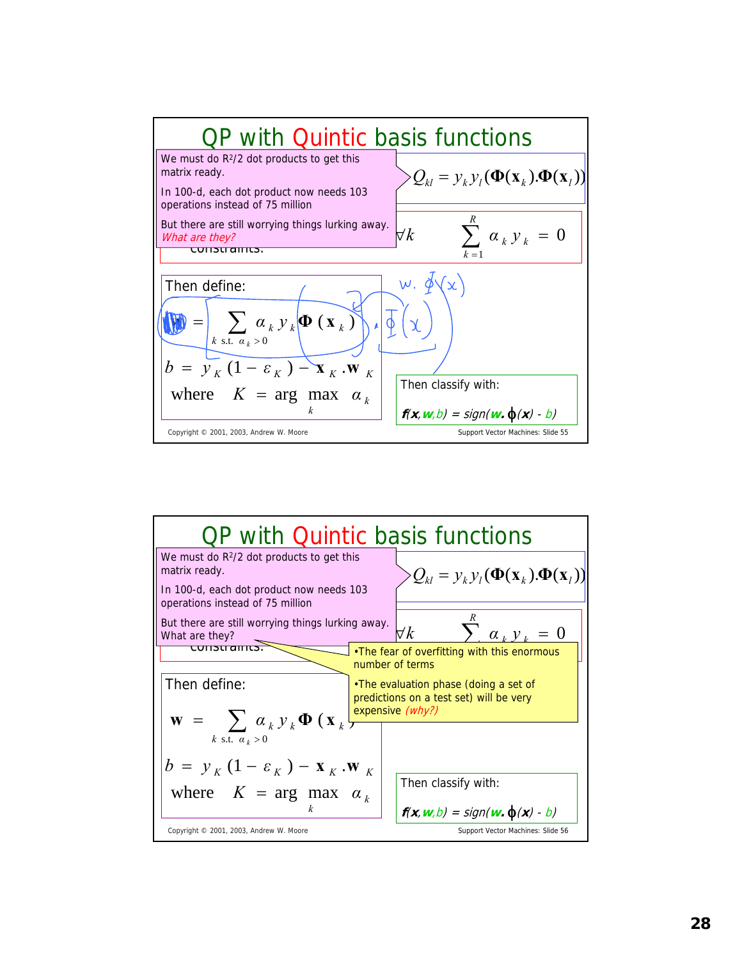

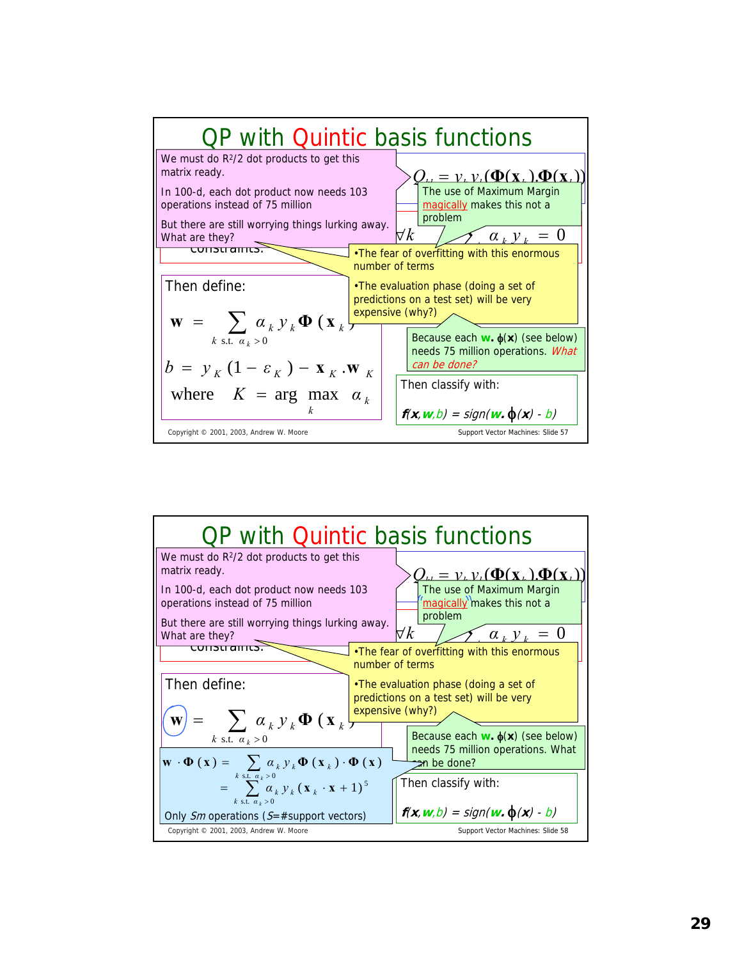

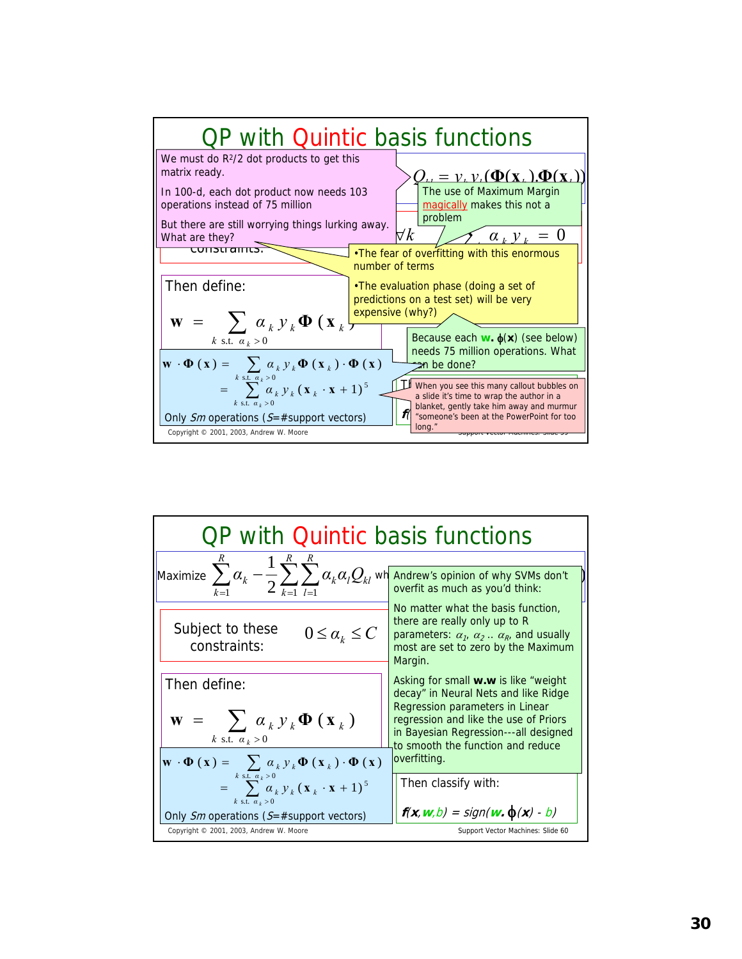

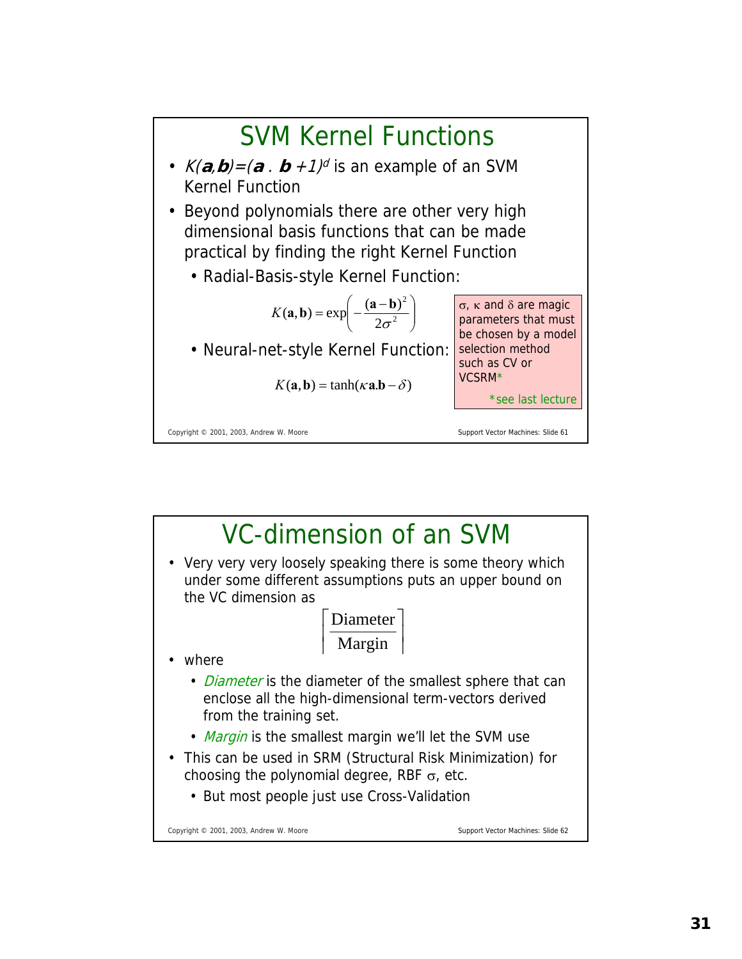

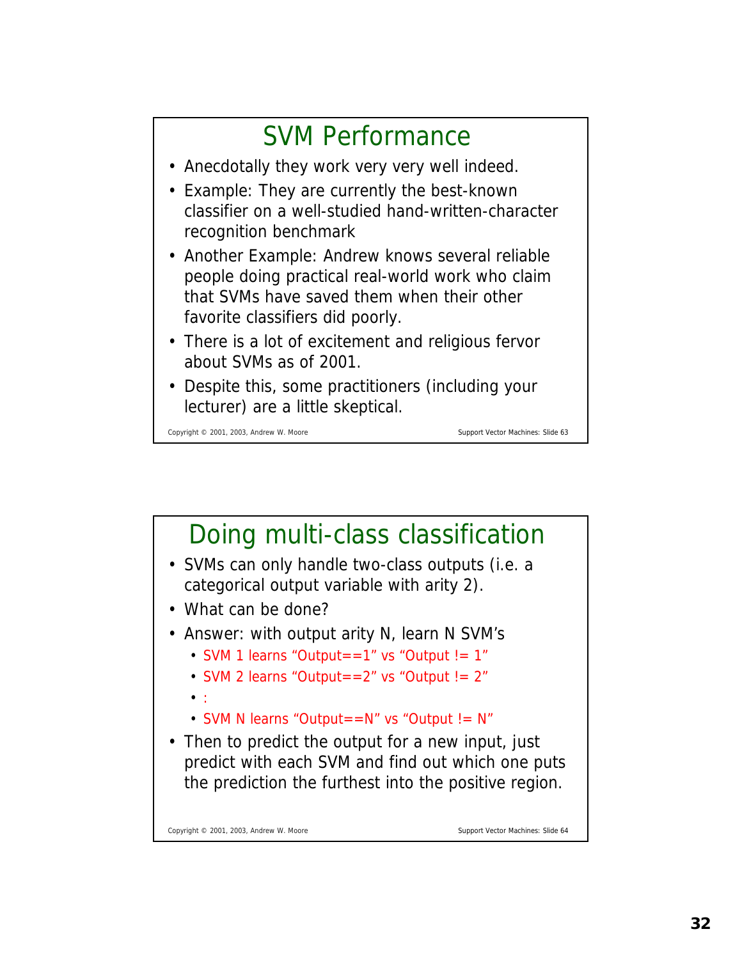